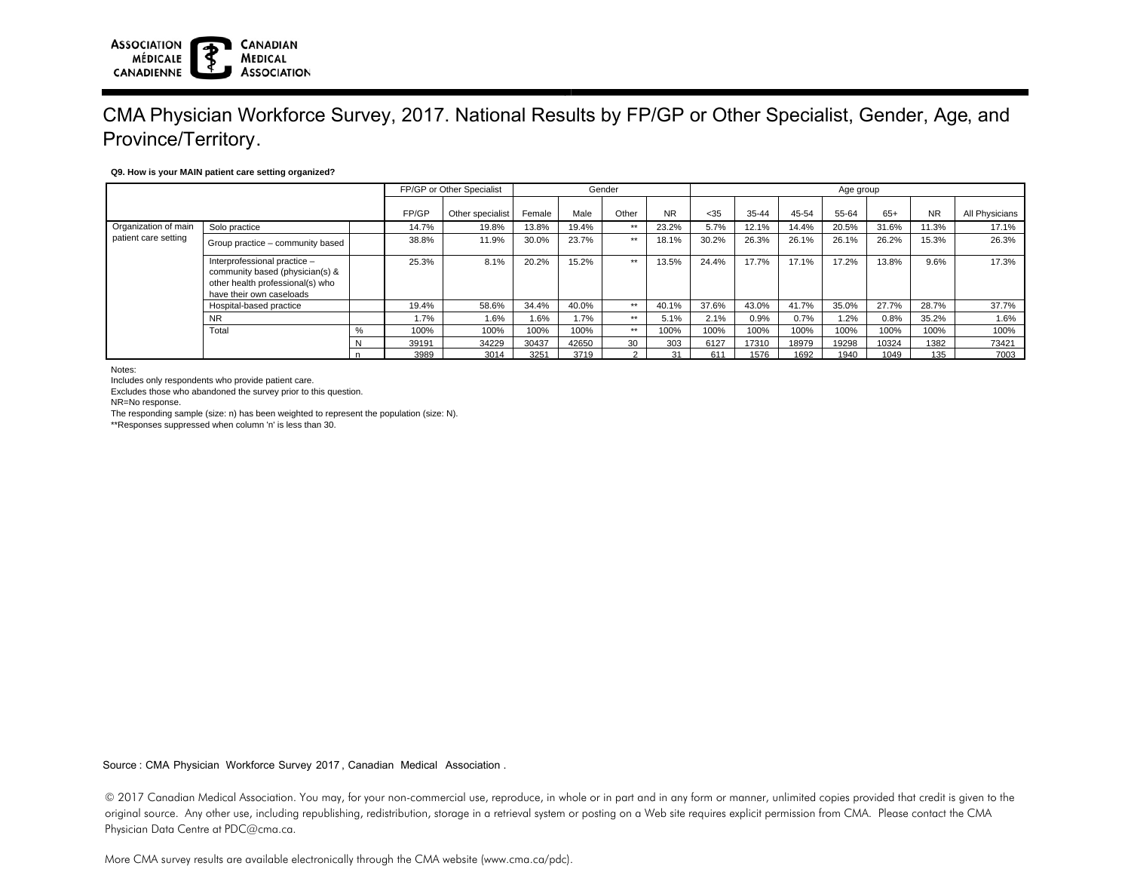#### **ASSOCIATION CANADIAN MÉDICALE MEDICAL ASSOCIATION** CANADIENNE

# CMA Physician Workforce Survey, 2017. National Results by FP/GP or Other Specialist, Gender, Age, and Province/Territory.

### **Q9. How is your MAIN patient care setting organized?**

|                                              |                                                                                                                                 | FP/GP or Other Specialist |       | Gender           |        |       |        | Age group |       |           |       |       |       |           |                |
|----------------------------------------------|---------------------------------------------------------------------------------------------------------------------------------|---------------------------|-------|------------------|--------|-------|--------|-----------|-------|-----------|-------|-------|-------|-----------|----------------|
|                                              |                                                                                                                                 |                           | FP/GP | Other specialist | Female | Male  | Other  | <b>NR</b> | $35$  | $35 - 44$ | 45-54 | 55-64 | $65+$ | <b>NR</b> | All Physicians |
| Organization of main<br>patient care setting | Solo practice                                                                                                                   |                           | 14.7% | 19.8%            | 13.8%  | 19.4% | **     | 23.2%     | 5.7%  | 12.1%     | 14.4% | 20.5% | 31.6% | 1.3%      | 17.1%          |
|                                              | Group practice – community based                                                                                                |                           | 38.8% | 11.9%            | 30.0%  | 23.7% | **     | 18.1%     | 30.2% | 26.3%     | 26.1% | 26.1% | 26.2% | 15.3%     | 26.3%          |
|                                              | Interprofessional practice -<br>community based (physician(s) &<br>other health professional(s) who<br>have their own caseloads |                           | 25.3% | 8.1%             | 20.2%  | 15.2% | **     | 13.5%     | 24.4% | 17.7%     | 17.1% | 17.2% | 13.8% | 9.6%      | 17.3%          |
|                                              | Hospital-based practice                                                                                                         |                           | 19.4% | 58.6%            | 34.4%  | 40.0% | **     | 40.1%     | 37.6% | 43.0%     | 41.7% | 35.0% | 27.7% | 28.7%     | 37.7%          |
|                                              | <b>NR</b>                                                                                                                       |                           | 1.7%  | 1.6%             | 1.6%   | 1.7%  | **     | 5.1%      | 2.1%  | 0.9%      | 0.7%  | 1.2%  | 0.8%  | 35.2%     | 1.6%           |
|                                              | Total                                                                                                                           | %                         | 100%  | 100%             | 100%   | 100%  | **     | 100%      | 100%  | 100%      | 100%  | 100%  | 100%  | 100%      | 100%           |
|                                              |                                                                                                                                 | ΙV                        | 39191 | 34229            | 30437  | 42650 | 30     | 303       | 6127  | 17310     | 18979 | 19298 | 10324 | 1382      | 73421          |
|                                              |                                                                                                                                 |                           | 3989  | 3014             | 3251   | 3719  | $\sim$ | 31        | 611   | 1576      | 1692  | 1940  | 1049  | 135       | 7003           |

Notes:

Includes only respondents who provide patient care.

Excludes those who abandoned the survey prior to this question.

NR=No response.

The responding sample (size: n) has been weighted to represent the population (size: N).

\*\*Responses suppressed when column 'n' is less than 30.

Source : CMA Physician Workforce Survey 2017, Canadian Medical Association .

© 2017 Canadian Medical Association. You may, for your non-commercial use, reproduce, in whole or in part and in any form or manner, unlimited copies provided that credit is given to the original source. Any other use, including republishing, redistribution, storage in a retrieval system or posting on a Web site requires explicit permission from CMA. Please contact the CMA Physician Data Centre at PDC@cma.ca.

More CMA survey results are available electronically through the CMA website (www.cma.ca/pdc).